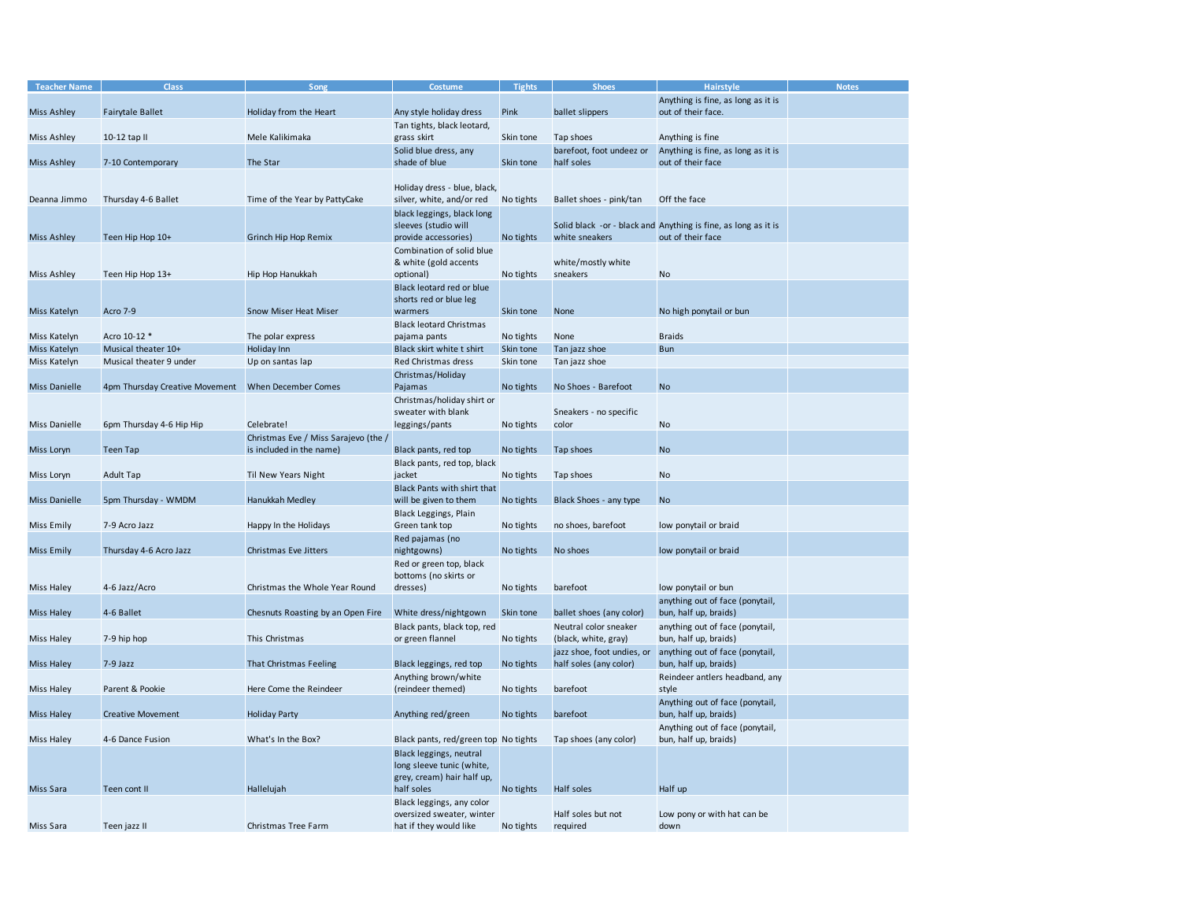| <b>Teacher Name</b> | <b>Class</b>                                   | Song                                 | Costume                                                             | <b>Tights</b> | <b>Shoes</b>                           | Hairstyle                                                                           | <b>Notes</b> |
|---------------------|------------------------------------------------|--------------------------------------|---------------------------------------------------------------------|---------------|----------------------------------------|-------------------------------------------------------------------------------------|--------------|
|                     |                                                |                                      |                                                                     |               |                                        | Anything is fine, as long as it is                                                  |              |
| Miss Ashley         | <b>Fairytale Ballet</b>                        | Holiday from the Heart               | Any style holiday dress                                             | Pink          | ballet slippers                        | out of their face.                                                                  |              |
|                     |                                                |                                      | Tan tights, black leotard,                                          |               |                                        |                                                                                     |              |
| Miss Ashley         | 10-12 tap II                                   | Mele Kalikimaka                      | grass skirt                                                         | Skin tone     | Tap shoes                              | Anything is fine                                                                    |              |
| Miss Ashley         | 7-10 Contemporary                              | The Star                             | Solid blue dress, any<br>shade of blue                              | Skin tone     | barefoot, foot undeez or<br>half soles | Anything is fine, as long as it is<br>out of their face                             |              |
|                     |                                                |                                      |                                                                     |               |                                        |                                                                                     |              |
| Deanna Jimmo        | Thursday 4-6 Ballet                            | Time of the Year by PattyCake        | Holiday dress - blue, black,<br>silver, white, and/or red No tights |               | Ballet shoes - pink/tan                | Off the face                                                                        |              |
|                     |                                                |                                      | black leggings, black long                                          |               |                                        |                                                                                     |              |
| <b>Miss Ashley</b>  | Teen Hip Hop 10+                               | Grinch Hip Hop Remix                 | sleeves (studio will<br>provide accessories)                        | No tights     | white sneakers                         | Solid black -or - black and Anything is fine, as long as it is<br>out of their face |              |
|                     |                                                |                                      | Combination of solid blue                                           |               |                                        |                                                                                     |              |
|                     |                                                |                                      | & white (gold accents                                               |               | white/mostly white                     |                                                                                     |              |
| Miss Ashley         | Teen Hip Hop 13+                               | Hip Hop Hanukkah                     | optional)                                                           | No tights     | sneakers                               | No                                                                                  |              |
|                     |                                                |                                      | Black leotard red or blue                                           |               |                                        |                                                                                     |              |
|                     |                                                |                                      | shorts red or blue leg                                              |               |                                        |                                                                                     |              |
| Miss Katelyn        | Acro 7-9                                       | <b>Snow Miser Heat Miser</b>         | warmers                                                             | Skin tone     | None                                   | No high ponytail or bun                                                             |              |
|                     |                                                |                                      | <b>Black leotard Christmas</b>                                      |               |                                        |                                                                                     |              |
| Miss Katelyn        | Acro 10-12 *                                   | The polar express                    | pajama pants                                                        | No tights     | None                                   | <b>Braids</b>                                                                       |              |
| Miss Katelyn        | Musical theater 10+<br>Musical theater 9 under | Holiday Inn                          | Black skirt white t shirt<br>Red Christmas dress                    | Skin tone     | Tan jazz shoe                          | <b>Bun</b>                                                                          |              |
| Miss Katelyn        |                                                | Up on santas lap                     |                                                                     | Skin tone     | Tan jazz shoe                          |                                                                                     |              |
| Miss Danielle       | 4pm Thursday Creative Movement                 | When December Comes                  | Christmas/Holiday<br>Pajamas                                        | No tights     | No Shoes - Barefoot                    | <b>No</b>                                                                           |              |
|                     |                                                |                                      | Christmas/holiday shirt or                                          |               |                                        |                                                                                     |              |
|                     |                                                |                                      | sweater with blank                                                  |               | Sneakers - no specific                 |                                                                                     |              |
| Miss Danielle       | 6pm Thursday 4-6 Hip Hip                       | Celebrate!                           | leggings/pants                                                      | No tights     | color                                  | No                                                                                  |              |
|                     |                                                | Christmas Eve / Miss Sarajevo (the / |                                                                     |               |                                        |                                                                                     |              |
| Miss Loryn          | <b>Teen Tap</b>                                | is included in the name)             | Black pants, red top                                                | No tights     | Tap shoes                              | <b>No</b>                                                                           |              |
|                     |                                                |                                      | Black pants, red top, black                                         |               |                                        |                                                                                     |              |
| Miss Loryn          | <b>Adult Tap</b>                               | Til New Years Night                  | jacket                                                              | No tights     | Tap shoes                              | No                                                                                  |              |
|                     |                                                |                                      | Black Pants with shirt that                                         |               |                                        |                                                                                     |              |
| Miss Danielle       | 5pm Thursday - WMDM                            | Hanukkah Medley                      | will be given to them                                               | No tights     | Black Shoes - any type                 | <b>No</b>                                                                           |              |
|                     |                                                |                                      | Black Leggings, Plain                                               |               |                                        |                                                                                     |              |
| Miss Emily          | 7-9 Acro Jazz                                  | Happy In the Holidays                | Green tank top                                                      | No tights     | no shoes, barefoot                     | low ponytail or braid                                                               |              |
|                     |                                                |                                      | Red pajamas (no                                                     |               |                                        |                                                                                     |              |
| <b>Miss Emily</b>   | Thursday 4-6 Acro Jazz                         | Christmas Eve Jitters                | nightgowns)                                                         | No tights     | No shoes                               | low ponytail or braid                                                               |              |
|                     |                                                |                                      | Red or green top, black                                             |               |                                        |                                                                                     |              |
|                     | 4-6 Jazz/Acro                                  | Christmas the Whole Year Round       | bottoms (no skirts or                                               |               | barefoot                               |                                                                                     |              |
| Miss Haley          |                                                |                                      | dresses)                                                            | No tights     |                                        | low ponytail or bun                                                                 |              |
| Miss Haley          | 4-6 Ballet                                     | Chesnuts Roasting by an Open Fire    | White dress/nightgown                                               | Skin tone     | ballet shoes (any color)               | anything out of face (ponytail,<br>bun, half up, braids)                            |              |
|                     |                                                |                                      | Black pants, black top, red                                         |               | Neutral color sneaker                  | anything out of face (ponytail,                                                     |              |
| Miss Haley          | 7-9 hip hop                                    | This Christmas                       | or green flannel                                                    | No tights     | (black, white, gray)                   | bun, half up, braids)                                                               |              |
|                     |                                                |                                      |                                                                     |               | jazz shoe, foot undies, or             | anything out of face (ponytail,                                                     |              |
| Miss Haley          | 7-9 Jazz                                       | That Christmas Feeling               | Black leggings, red top                                             | No tights     | half soles (any color)                 | bun, half up, braids)                                                               |              |
|                     |                                                |                                      | Anything brown/white                                                |               |                                        | Reindeer antlers headband, any                                                      |              |
| Miss Haley          | Parent & Pookie                                | Here Come the Reindeer               | (reindeer themed)                                                   | No tights     | barefoot                               | style                                                                               |              |
|                     |                                                |                                      |                                                                     |               |                                        | Anything out of face (ponytail,                                                     |              |
| Miss Haley          | <b>Creative Movement</b>                       | <b>Holiday Party</b>                 | Anything red/green                                                  | No tights     | barefoot                               | bun, half up, braids)                                                               |              |
|                     |                                                |                                      |                                                                     |               |                                        | Anything out of face (ponytail,                                                     |              |
| Miss Haley          | 4-6 Dance Fusion                               | What's In the Box?                   | Black pants, red/green top No tights                                |               | Tap shoes (any color)                  | bun, half up, braids)                                                               |              |
|                     |                                                |                                      | Black leggings, neutral                                             |               |                                        |                                                                                     |              |
|                     |                                                |                                      | long sleeve tunic (white,<br>grey, cream) hair half up,             |               |                                        |                                                                                     |              |
| Miss Sara           | Teen cont II                                   | Hallelujah                           | half soles                                                          | No tights     | Half soles                             | Half up                                                                             |              |
|                     |                                                |                                      | Black leggings, any color                                           |               |                                        |                                                                                     |              |
|                     |                                                |                                      | oversized sweater, winter                                           |               | Half soles but not                     | Low pony or with hat can be                                                         |              |
| Miss Sara           | Teen jazz II                                   | Christmas Tree Farm                  | hat if they would like                                              | No tights     | required                               | down                                                                                |              |